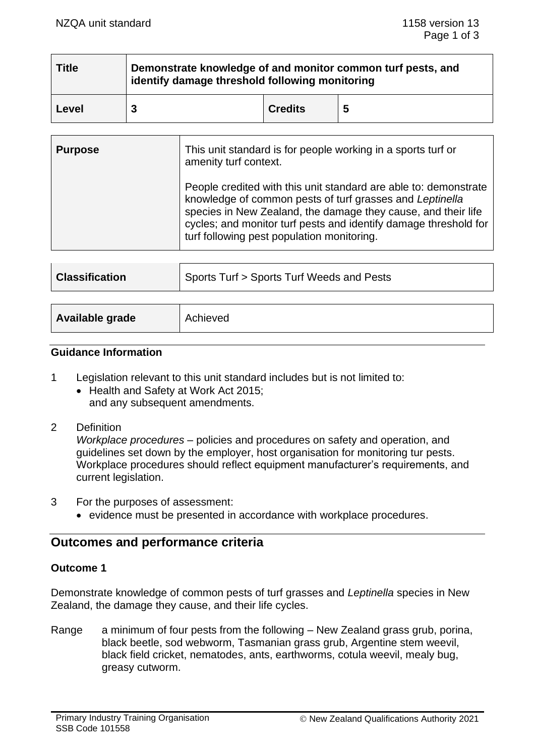| <b>Title</b> | Demonstrate knowledge of and monitor common turf pests, and<br>identify damage threshold following monitoring |                |   |  |  |
|--------------|---------------------------------------------------------------------------------------------------------------|----------------|---|--|--|
| Level        |                                                                                                               | <b>Credits</b> | 5 |  |  |

| <b>Purpose</b> | This unit standard is for people working in a sports turf or<br>amenity turf context.                                                                                                                                                                                                                           |
|----------------|-----------------------------------------------------------------------------------------------------------------------------------------------------------------------------------------------------------------------------------------------------------------------------------------------------------------|
|                | People credited with this unit standard are able to: demonstrate<br>knowledge of common pests of turf grasses and Leptinella<br>species in New Zealand, the damage they cause, and their life<br>cycles; and monitor turf pests and identify damage threshold for<br>turf following pest population monitoring. |

| <b>Classification</b> | Sports Turf > Sports Turf Weeds and Pests |  |
|-----------------------|-------------------------------------------|--|
|                       |                                           |  |
| Available grade       | Achieved                                  |  |

#### **Guidance Information**

- 1 Legislation relevant to this unit standard includes but is not limited to:
	- Health and Safety at Work Act 2015; and any subsequent amendments.

## 2 Definition

*Workplace procedures* – policies and procedures on safety and operation, and guidelines set down by the employer, host organisation for monitoring tur pests. Workplace procedures should reflect equipment manufacturer's requirements, and current legislation.

- 3 For the purposes of assessment:
	- evidence must be presented in accordance with workplace procedures.

# **Outcomes and performance criteria**

### **Outcome 1**

Demonstrate knowledge of common pests of turf grasses and *Leptinella* species in New Zealand, the damage they cause, and their life cycles.

Range a minimum of four pests from the following – New Zealand grass grub, porina, black beetle, sod webworm, Tasmanian grass grub, Argentine stem weevil, black field cricket, nematodes, ants, earthworms, cotula weevil, mealy bug, greasy cutworm.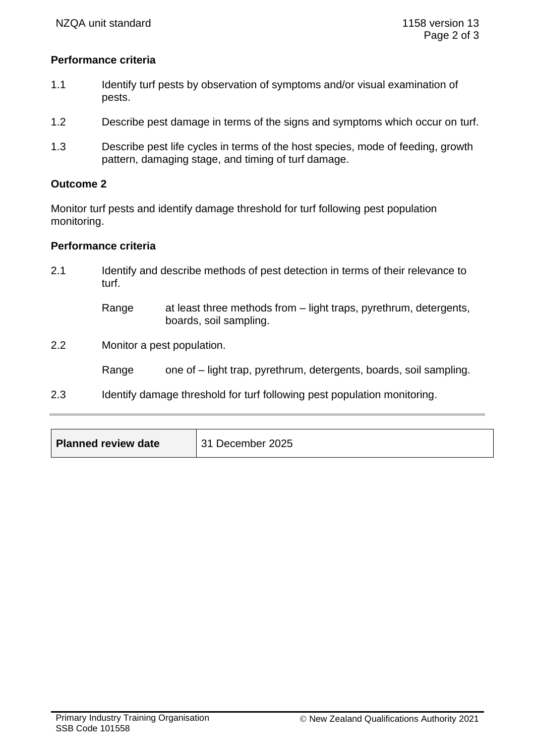## **Performance criteria**

- 1.1 Identify turf pests by observation of symptoms and/or visual examination of pests.
- 1.2 Describe pest damage in terms of the signs and symptoms which occur on turf.
- 1.3 Describe pest life cycles in terms of the host species, mode of feeding, growth pattern, damaging stage, and timing of turf damage.

#### **Outcome 2**

Monitor turf pests and identify damage threshold for turf following pest population monitoring.

#### **Performance criteria**

- 2.1 Identify and describe methods of pest detection in terms of their relevance to turf.
	- Range at least three methods from light traps, pyrethrum, detergents, boards, soil sampling.
- 2.2 Monitor a pest population.

Range one of – light trap, pyrethrum, detergents, boards, soil sampling.

2.3 Identify damage threshold for turf following pest population monitoring.

| <b>Planned review date</b> | December 2025 |
|----------------------------|---------------|
|----------------------------|---------------|